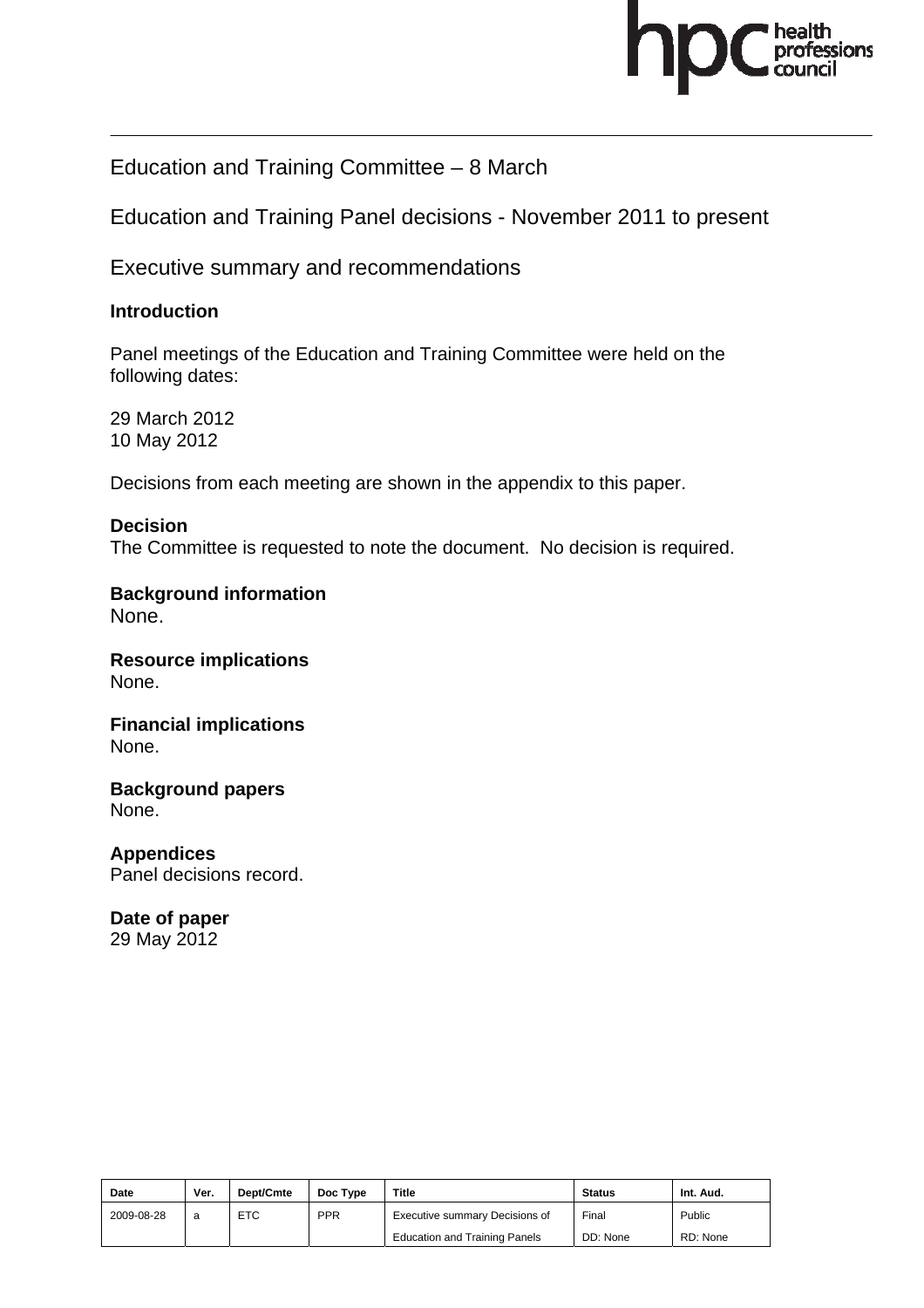

Education and Training Committee – 8 March

Education and Training Panel decisions - November 2011 to present

Executive summary and recommendations

#### **Introduction**

Panel meetings of the Education and Training Committee were held on the following dates:

29 March 2012 10 May 2012

Decisions from each meeting are shown in the appendix to this paper.

#### **Decision**

The Committee is requested to note the document. No decision is required.

**Background information**  None.

**Resource implications**  None.

**Financial implications**  None.

**Background papers**  None.

**Appendices**  Panel decisions record.

# **Date of paper**

29 May 2012

| Date       | Ver. | Dept/Cmte  | Doc Type   | Title                                | <b>Status</b> | Int. Aud. |
|------------|------|------------|------------|--------------------------------------|---------------|-----------|
| 2009-08-28 | a    | <b>ETC</b> | <b>PPR</b> | Executive summary Decisions of       | Final         | Public    |
|            |      |            |            | <b>Education and Training Panels</b> | DD: None      | RD: None  |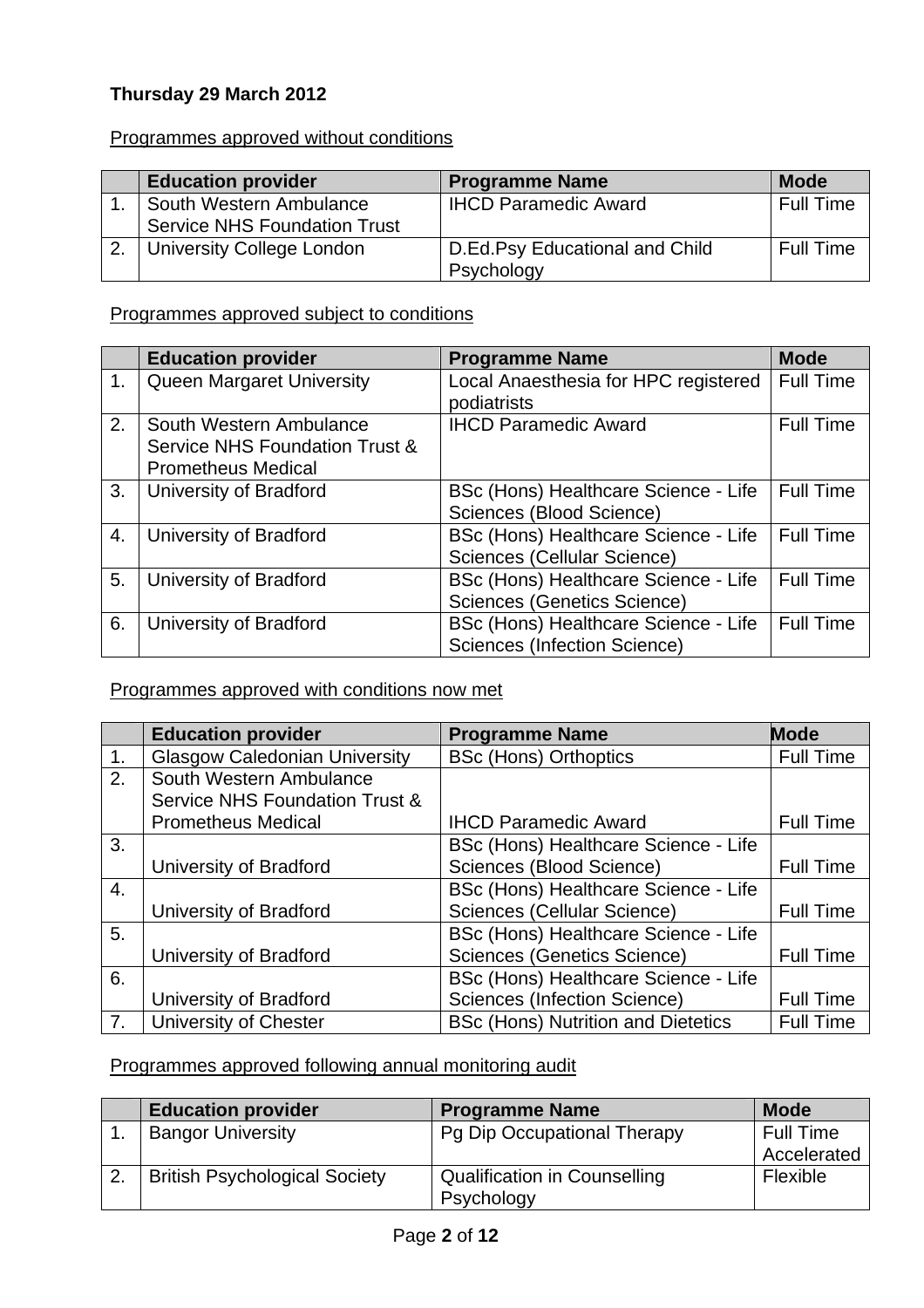## **Thursday 29 March 2012**

#### Programmes approved without conditions

| <b>Education provider</b>           | <b>Programme Name</b>          | <b>Mode</b>      |
|-------------------------------------|--------------------------------|------------------|
| South Western Ambulance             | <b>IHCD Paramedic Award</b>    | <b>Full Time</b> |
| <b>Service NHS Foundation Trust</b> |                                |                  |
| <b>University College London</b>    | D.Ed.Psy Educational and Child | <b>Full Time</b> |
|                                     | Psychology                     |                  |

#### Programmes approved subject to conditions

|    | <b>Education provider</b>                                                              | <b>Programme Name</b>                                                | <b>Mode</b>      |
|----|----------------------------------------------------------------------------------------|----------------------------------------------------------------------|------------------|
| 1. | <b>Queen Margaret University</b>                                                       | Local Anaesthesia for HPC registered<br>podiatrists                  | <b>Full Time</b> |
| 2. | South Western Ambulance<br>Service NHS Foundation Trust &<br><b>Prometheus Medical</b> | <b>IHCD Paramedic Award</b>                                          | <b>Full Time</b> |
| 3. | University of Bradford                                                                 | BSc (Hons) Healthcare Science - Life<br>Sciences (Blood Science)     | <b>Full Time</b> |
| 4. | University of Bradford                                                                 | BSc (Hons) Healthcare Science - Life<br>Sciences (Cellular Science)  | <b>Full Time</b> |
| 5. | University of Bradford                                                                 | BSc (Hons) Healthcare Science - Life<br>Sciences (Genetics Science)  | <b>Full Time</b> |
| 6. | University of Bradford                                                                 | BSc (Hons) Healthcare Science - Life<br>Sciences (Infection Science) | <b>Full Time</b> |

## Programmes approved with conditions now met

|                  | <b>Education provider</b>            | <b>Programme Name</b>                     | <b>Mode</b>      |
|------------------|--------------------------------------|-------------------------------------------|------------------|
| 1.               | <b>Glasgow Caledonian University</b> | <b>BSc (Hons) Orthoptics</b>              | <b>Full Time</b> |
| $\overline{2}$ . | South Western Ambulance              |                                           |                  |
|                  | Service NHS Foundation Trust &       |                                           |                  |
|                  | <b>Prometheus Medical</b>            | <b>IHCD Paramedic Award</b>               | <b>Full Time</b> |
| 3.               |                                      | BSc (Hons) Healthcare Science - Life      |                  |
|                  | University of Bradford               | Sciences (Blood Science)                  | <b>Full Time</b> |
| 4.               |                                      | BSc (Hons) Healthcare Science - Life      |                  |
|                  | University of Bradford               | Sciences (Cellular Science)               | <b>Full Time</b> |
| 5.               |                                      | BSc (Hons) Healthcare Science - Life      |                  |
|                  | University of Bradford               | Sciences (Genetics Science)               | <b>Full Time</b> |
| 6.               |                                      | BSc (Hons) Healthcare Science - Life      |                  |
|                  | University of Bradford               | Sciences (Infection Science)              | <b>Full Time</b> |
| 7.               | University of Chester                | <b>BSc (Hons) Nutrition and Dietetics</b> | <b>Full Time</b> |

# Programmes approved following annual monitoring audit

| <b>Education provider</b>            | <b>Programme Name</b>        | <b>Mode</b>      |
|--------------------------------------|------------------------------|------------------|
| <b>Bangor University</b>             | Pg Dip Occupational Therapy  | <b>Full Time</b> |
|                                      |                              | Accelerated      |
| <b>British Psychological Society</b> | Qualification in Counselling | Flexible         |
|                                      | Psychology                   |                  |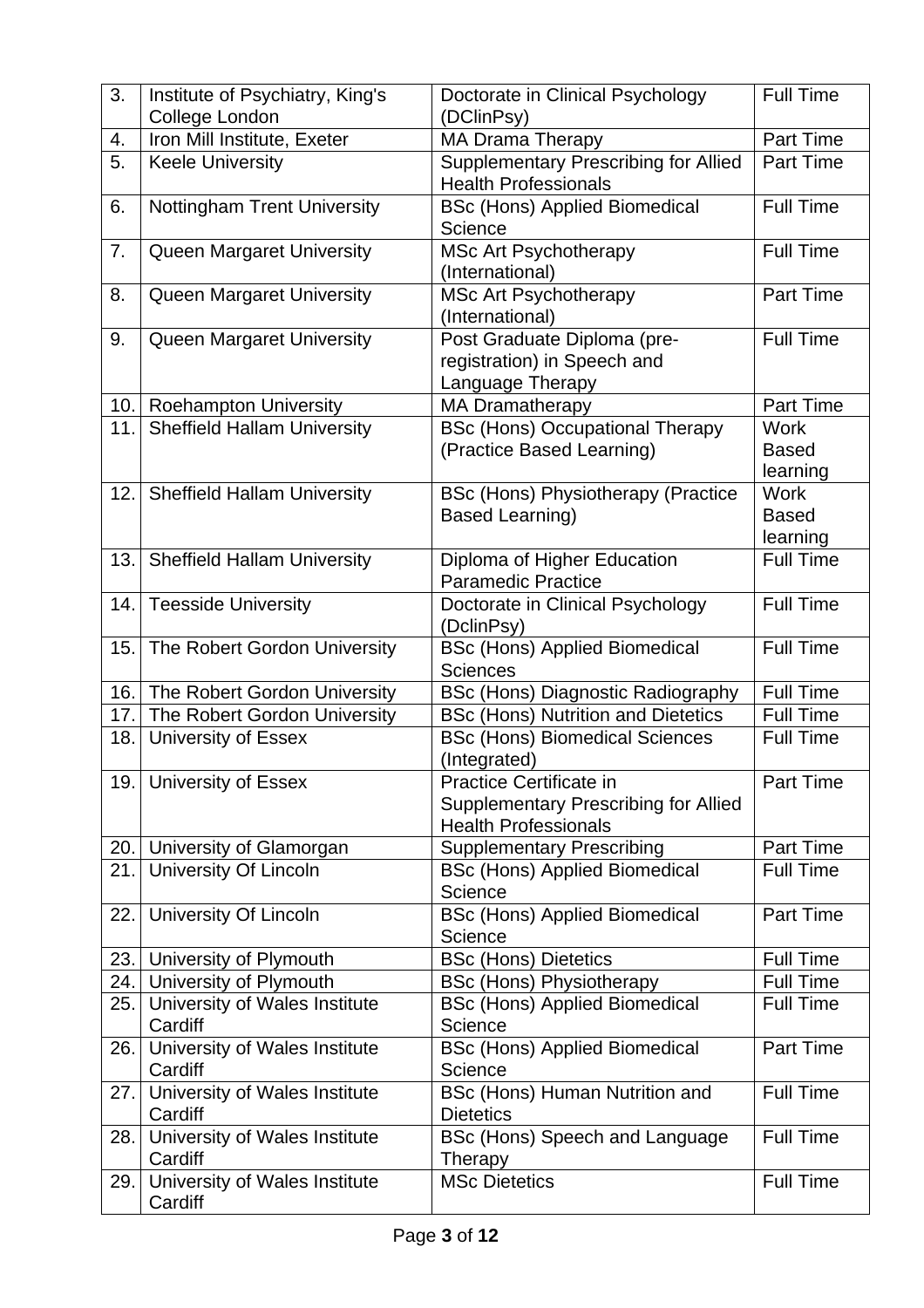| 3.   | Institute of Psychiatry, King's<br>College London | Doctorate in Clinical Psychology<br>(DClinPsy)  | <b>Full Time</b>              |
|------|---------------------------------------------------|-------------------------------------------------|-------------------------------|
| 4.   | Iron Mill Institute, Exeter                       | MA Drama Therapy                                | Part Time                     |
| 5.   | <b>Keele University</b>                           | <b>Supplementary Prescribing for Allied</b>     | <b>Part Time</b>              |
|      |                                                   | <b>Health Professionals</b>                     |                               |
| 6.   | <b>Nottingham Trent University</b>                | <b>BSc (Hons) Applied Biomedical</b>            | <b>Full Time</b>              |
|      |                                                   | Science                                         |                               |
| 7.   | Queen Margaret University                         | <b>MSc Art Psychotherapy</b>                    | <b>Full Time</b>              |
|      |                                                   | (International)                                 |                               |
| 8.   | <b>Queen Margaret University</b>                  | <b>MSc Art Psychotherapy</b>                    | Part Time                     |
|      |                                                   | (International)                                 |                               |
| 9.   | Queen Margaret University                         | Post Graduate Diploma (pre-                     | <b>Full Time</b>              |
|      |                                                   | registration) in Speech and                     |                               |
|      |                                                   | Language Therapy                                |                               |
| 10.  | <b>Roehampton University</b>                      | <b>MA Dramatherapy</b>                          | Part Time                     |
| 11.  | <b>Sheffield Hallam University</b>                | <b>BSc (Hons) Occupational Therapy</b>          | <b>Work</b>                   |
|      |                                                   | (Practice Based Learning)                       | <b>Based</b>                  |
|      |                                                   |                                                 | learning                      |
| 12.  | <b>Sheffield Hallam University</b>                | BSc (Hons) Physiotherapy (Practice              | <b>Work</b>                   |
|      |                                                   | <b>Based Learning)</b>                          | <b>Based</b>                  |
|      |                                                   |                                                 | learning                      |
| 13.  | <b>Sheffield Hallam University</b>                | Diploma of Higher Education                     | <b>Full Time</b>              |
|      |                                                   | <b>Paramedic Practice</b>                       |                               |
| 14.  | <b>Teesside University</b>                        | Doctorate in Clinical Psychology                | <b>Full Time</b>              |
|      |                                                   | (DclinPsy)                                      |                               |
| 15.  | The Robert Gordon University                      | <b>BSc (Hons) Applied Biomedical</b>            | <b>Full Time</b>              |
|      |                                                   | <b>Sciences</b>                                 |                               |
| 16.  | The Robert Gordon University                      | <b>BSc (Hons) Diagnostic Radiography</b>        | <b>Full Time</b>              |
| 17.  | The Robert Gordon University                      | <b>BSc (Hons) Nutrition and Dietetics</b>       | <b>Full Time</b>              |
| 18.  | <b>University of Essex</b>                        | <b>BSc (Hons) Biomedical Sciences</b>           | <b>Full Time</b>              |
|      |                                                   | (Integrated)                                    |                               |
|      | 19. University of Essex                           | Practice Certificate in                         | Part Time                     |
|      |                                                   | <b>Supplementary Prescribing for Allied</b>     |                               |
|      |                                                   | <b>Health Professionals</b>                     |                               |
| 20.  | University of Glamorgan                           | <b>Supplementary Prescribing</b>                | Part Time<br><b>Full Time</b> |
| 21.  | <b>University Of Lincoln</b>                      | <b>BSc (Hons) Applied Biomedical</b><br>Science |                               |
| 22.1 | University Of Lincoln                             | <b>BSc (Hons) Applied Biomedical</b>            | Part Time                     |
|      |                                                   | Science                                         |                               |
| 23.  | University of Plymouth                            | <b>BSc (Hons) Dietetics</b>                     | <b>Full Time</b>              |
| 24.  | University of Plymouth                            | <b>BSc (Hons) Physiotherapy</b>                 | <b>Full Time</b>              |
| 25.  | University of Wales Institute                     | <b>BSc (Hons) Applied Biomedical</b>            | <b>Full Time</b>              |
|      | Cardiff                                           | Science                                         |                               |
| 26.  | University of Wales Institute                     | <b>BSc (Hons) Applied Biomedical</b>            | Part Time                     |
|      | Cardiff                                           | Science                                         |                               |
| 27.  | University of Wales Institute                     | BSc (Hons) Human Nutrition and                  | <b>Full Time</b>              |
|      | Cardiff                                           | <b>Dietetics</b>                                |                               |
| 28.  | University of Wales Institute                     | BSc (Hons) Speech and Language                  | <b>Full Time</b>              |
|      | Cardiff                                           | Therapy                                         |                               |
| 29.  | University of Wales Institute                     | <b>MSc Dietetics</b>                            | <b>Full Time</b>              |
|      | Cardiff                                           |                                                 |                               |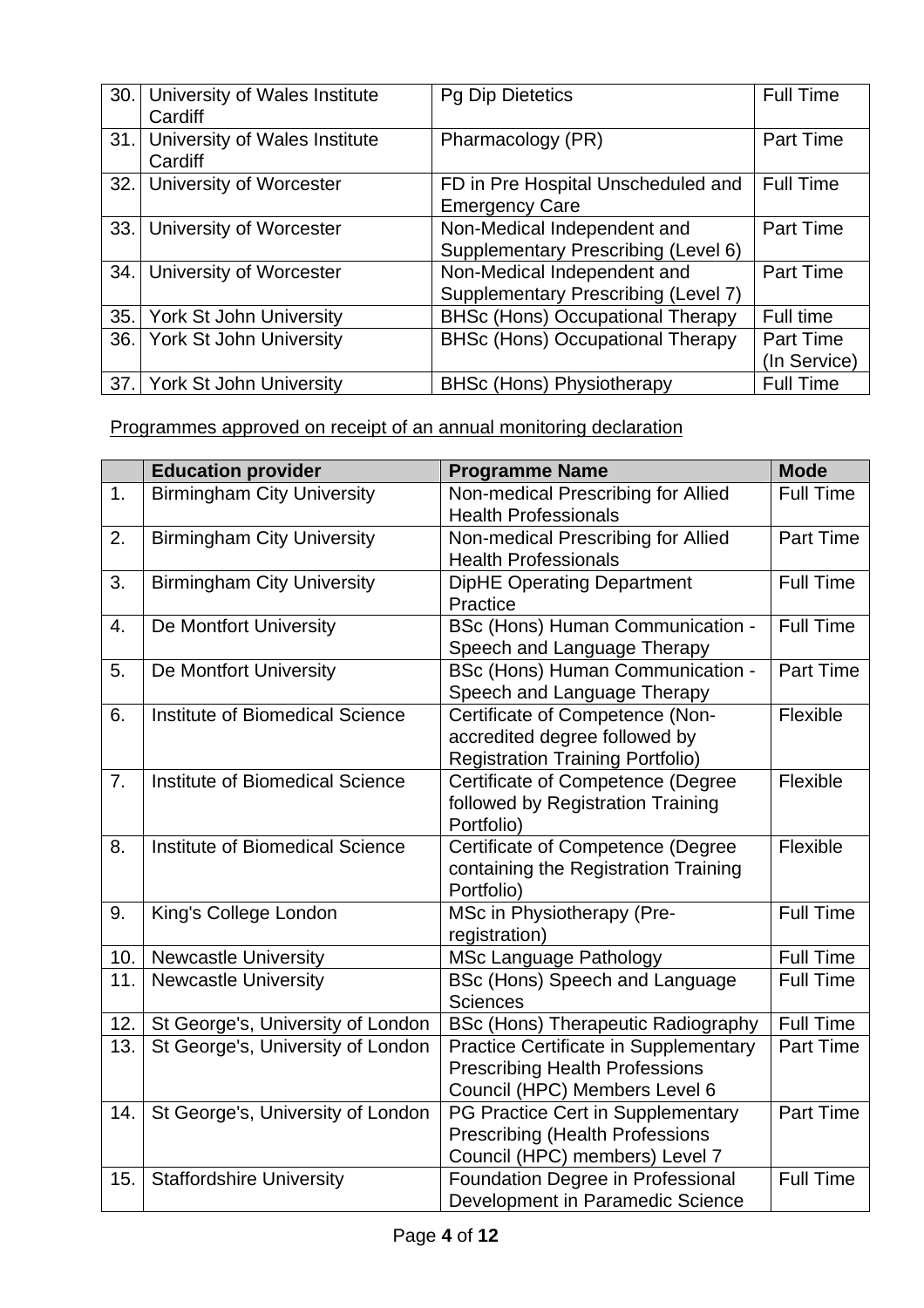| 30.1 | University of Wales Institute<br>Cardiff | <b>Pg Dip Dietetics</b>                                            | <b>Full Time</b>                 |
|------|------------------------------------------|--------------------------------------------------------------------|----------------------------------|
| 31.1 | University of Wales Institute<br>Cardiff | Pharmacology (PR)                                                  | <b>Part Time</b>                 |
| 32.1 | University of Worcester                  | FD in Pre Hospital Unscheduled and<br><b>Emergency Care</b>        | <b>Full Time</b>                 |
| 33.1 | University of Worcester                  | Non-Medical Independent and<br>Supplementary Prescribing (Level 6) | <b>Part Time</b>                 |
| 34.  | University of Worcester                  | Non-Medical Independent and<br>Supplementary Prescribing (Level 7) | Part Time                        |
| 35.  | <b>York St John University</b>           | <b>BHSc (Hons) Occupational Therapy</b>                            | Full time                        |
| 36.  | <b>York St John University</b>           | <b>BHSc (Hons) Occupational Therapy</b>                            | <b>Part Time</b><br>(In Service) |
| 37.1 | <b>York St John University</b>           | <b>BHSc (Hons) Physiotherapy</b>                                   | <b>Full Time</b>                 |

Programmes approved on receipt of an annual monitoring declaration

|     | <b>Education provider</b>         | <b>Programme Name</b>                                                                                                  | <b>Mode</b>      |
|-----|-----------------------------------|------------------------------------------------------------------------------------------------------------------------|------------------|
| 1.  | <b>Birmingham City University</b> | Non-medical Prescribing for Allied<br><b>Health Professionals</b>                                                      | <b>Full Time</b> |
| 2.  | <b>Birmingham City University</b> | Non-medical Prescribing for Allied<br><b>Health Professionals</b>                                                      | Part Time        |
| 3.  | <b>Birmingham City University</b> | <b>DipHE Operating Department</b><br>Practice                                                                          | <b>Full Time</b> |
| 4.  | De Montfort University            | BSc (Hons) Human Communication -<br>Speech and Language Therapy                                                        | <b>Full Time</b> |
| 5.  | De Montfort University            | <b>BSc (Hons) Human Communication -</b><br>Speech and Language Therapy                                                 | Part Time        |
| 6.  | Institute of Biomedical Science   | Certificate of Competence (Non-<br>accredited degree followed by<br><b>Registration Training Portfolio)</b>            | Flexible         |
| 7.  | Institute of Biomedical Science   | Certificate of Competence (Degree<br>followed by Registration Training<br>Portfolio)                                   | Flexible         |
| 8.  | Institute of Biomedical Science   | Certificate of Competence (Degree<br>containing the Registration Training<br>Portfolio)                                | Flexible         |
| 9.  | King's College London             | MSc in Physiotherapy (Pre-<br>registration)                                                                            | <b>Full Time</b> |
| 10. | <b>Newcastle University</b>       | <b>MSc Language Pathology</b>                                                                                          | <b>Full Time</b> |
| 11. | <b>Newcastle University</b>       | BSc (Hons) Speech and Language<br><b>Sciences</b>                                                                      | <b>Full Time</b> |
| 12. | St George's, University of London | <b>BSc (Hons) Therapeutic Radiography</b>                                                                              | <b>Full Time</b> |
| 13. | St George's, University of London | <b>Practice Certificate in Supplementary</b><br><b>Prescribing Health Professions</b><br>Council (HPC) Members Level 6 | Part Time        |
| 14. | St George's, University of London | PG Practice Cert in Supplementary<br><b>Prescribing (Health Professions</b><br>Council (HPC) members) Level 7          | Part Time        |
| 15. | <b>Staffordshire University</b>   | Foundation Degree in Professional<br>Development in Paramedic Science                                                  | <b>Full Time</b> |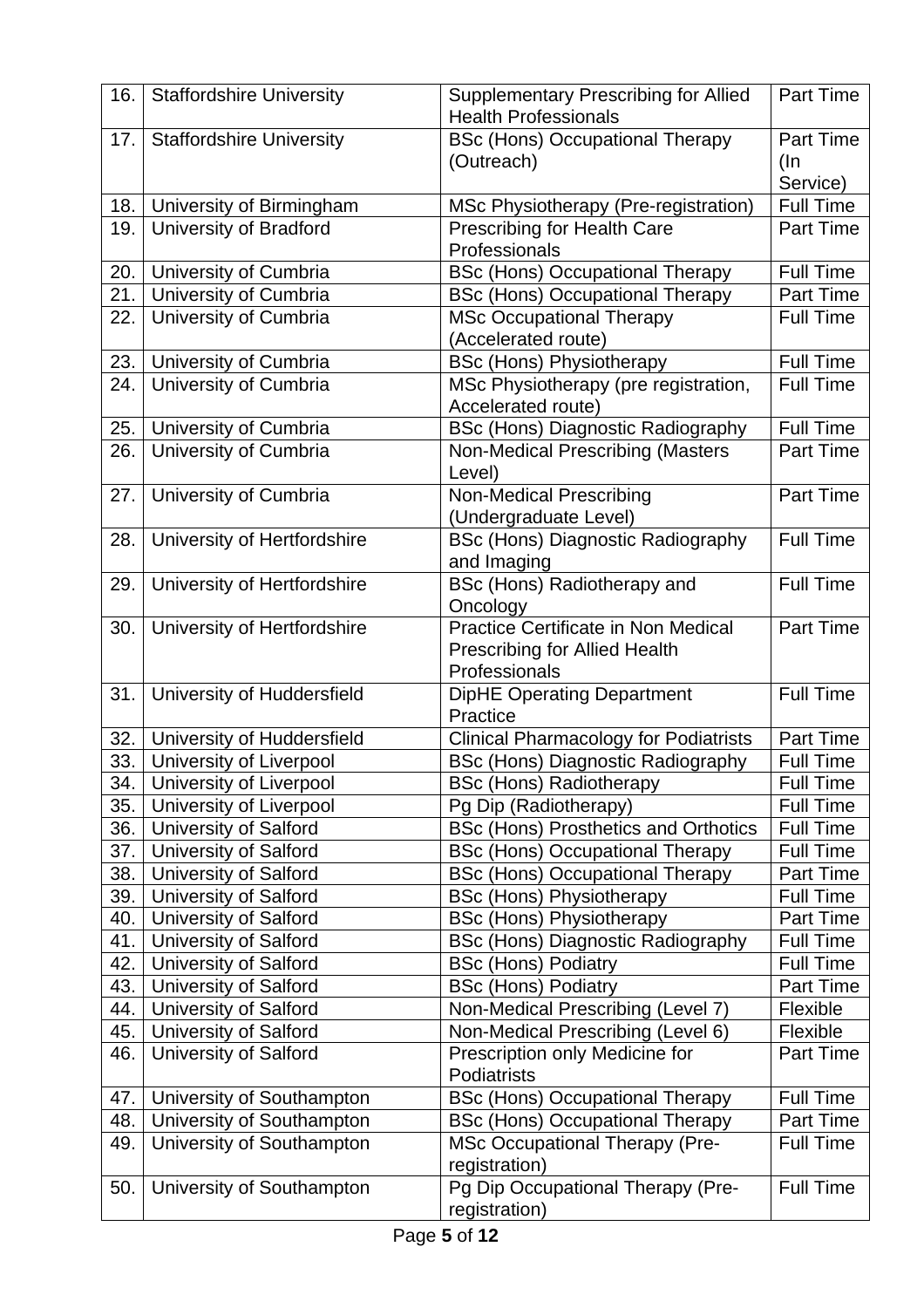| 16. | <b>Staffordshire University</b> | <b>Supplementary Prescribing for Allied</b><br><b>Health Professionals</b> | Part Time        |
|-----|---------------------------------|----------------------------------------------------------------------------|------------------|
| 17. | <b>Staffordshire University</b> | <b>BSc (Hons) Occupational Therapy</b>                                     | <b>Part Time</b> |
|     |                                 | (Outreach)                                                                 | $($ ln           |
|     |                                 |                                                                            | Service)         |
| 18. | University of Birmingham        | MSc Physiotherapy (Pre-registration)                                       | <b>Full Time</b> |
| 19. | <b>University of Bradford</b>   | <b>Prescribing for Health Care</b>                                         | <b>Part Time</b> |
|     |                                 | Professionals                                                              |                  |
| 20. | University of Cumbria           | <b>BSc (Hons) Occupational Therapy</b>                                     | <b>Full Time</b> |
| 21. | University of Cumbria           | <b>BSc (Hons) Occupational Therapy</b>                                     | <b>Part Time</b> |
| 22. | University of Cumbria           | <b>MSc Occupational Therapy</b>                                            | <b>Full Time</b> |
|     |                                 | (Accelerated route)                                                        |                  |
| 23. | University of Cumbria           | <b>BSc (Hons) Physiotherapy</b>                                            | <b>Full Time</b> |
| 24. | University of Cumbria           | MSc Physiotherapy (pre registration,                                       | <b>Full Time</b> |
|     |                                 | Accelerated route)                                                         |                  |
| 25. | University of Cumbria           | <b>BSc (Hons) Diagnostic Radiography</b>                                   | <b>Full Time</b> |
| 26. | University of Cumbria           | Non-Medical Prescribing (Masters                                           | <b>Part Time</b> |
|     |                                 | Level)                                                                     | Part Time        |
| 27. | University of Cumbria           | <b>Non-Medical Prescribing</b>                                             |                  |
| 28. | University of Hertfordshire     | (Undergraduate Level)<br><b>BSc (Hons) Diagnostic Radiography</b>          | <b>Full Time</b> |
|     |                                 | and Imaging                                                                |                  |
| 29. | University of Hertfordshire     | BSc (Hons) Radiotherapy and                                                | <b>Full Time</b> |
|     |                                 | Oncology                                                                   |                  |
| 30. | University of Hertfordshire     | Practice Certificate in Non Medical                                        | <b>Part Time</b> |
|     |                                 | <b>Prescribing for Allied Health</b>                                       |                  |
|     |                                 | Professionals                                                              |                  |
| 31. | University of Huddersfield      | <b>DipHE Operating Department</b>                                          | <b>Full Time</b> |
|     |                                 | Practice                                                                   |                  |
| 32. | University of Huddersfield      | <b>Clinical Pharmacology for Podiatrists</b>                               | Part Time        |
| 33. | University of Liverpool         | <b>BSc (Hons) Diagnostic Radiography</b>                                   | <b>Full Time</b> |
| 34. | University of Liverpool         | <b>BSc (Hons) Radiotherapy</b>                                             | <b>Full Time</b> |
| 35. | University of Liverpool         | Pg Dip (Radiotherapy)                                                      | <b>Full Time</b> |
| 36. | <b>University of Salford</b>    | <b>BSc (Hons) Prosthetics and Orthotics</b>                                | <b>Full Time</b> |
| 37. | <b>University of Salford</b>    | <b>BSc (Hons) Occupational Therapy</b>                                     | <b>Full Time</b> |
| 38. | <b>University of Salford</b>    | <b>BSc (Hons) Occupational Therapy</b>                                     | Part Time        |
| 39. | <b>University of Salford</b>    | <b>BSc (Hons) Physiotherapy</b>                                            | Full Time        |
| 40. | <b>University of Salford</b>    | <b>BSc (Hons) Physiotherapy</b>                                            | Part Time        |
| 41. | University of Salford           | <b>BSc (Hons) Diagnostic Radiography</b>                                   | <b>Full Time</b> |
| 42. | <b>University of Salford</b>    | <b>BSc (Hons) Podiatry</b>                                                 | Full Time        |
| 43. | <b>University of Salford</b>    | <b>BSc (Hons) Podiatry</b>                                                 | <b>Part Time</b> |
| 44. | <b>University of Salford</b>    | Non-Medical Prescribing (Level 7)                                          | Flexible         |
| 45. | University of Salford           | Non-Medical Prescribing (Level 6)                                          | Flexible         |
| 46. | University of Salford           | Prescription only Medicine for<br>Podiatrists                              | Part Time        |
| 47. | University of Southampton       | <b>BSc (Hons) Occupational Therapy</b>                                     | <b>Full Time</b> |
| 48. | University of Southampton       | <b>BSc (Hons) Occupational Therapy</b>                                     | Part Time        |
| 49. | University of Southampton       | <b>MSc Occupational Therapy (Pre-</b>                                      | <b>Full Time</b> |
|     |                                 | registration)                                                              |                  |
| 50. | University of Southampton       | Pg Dip Occupational Therapy (Pre-                                          | <b>Full Time</b> |
|     |                                 | registration)                                                              |                  |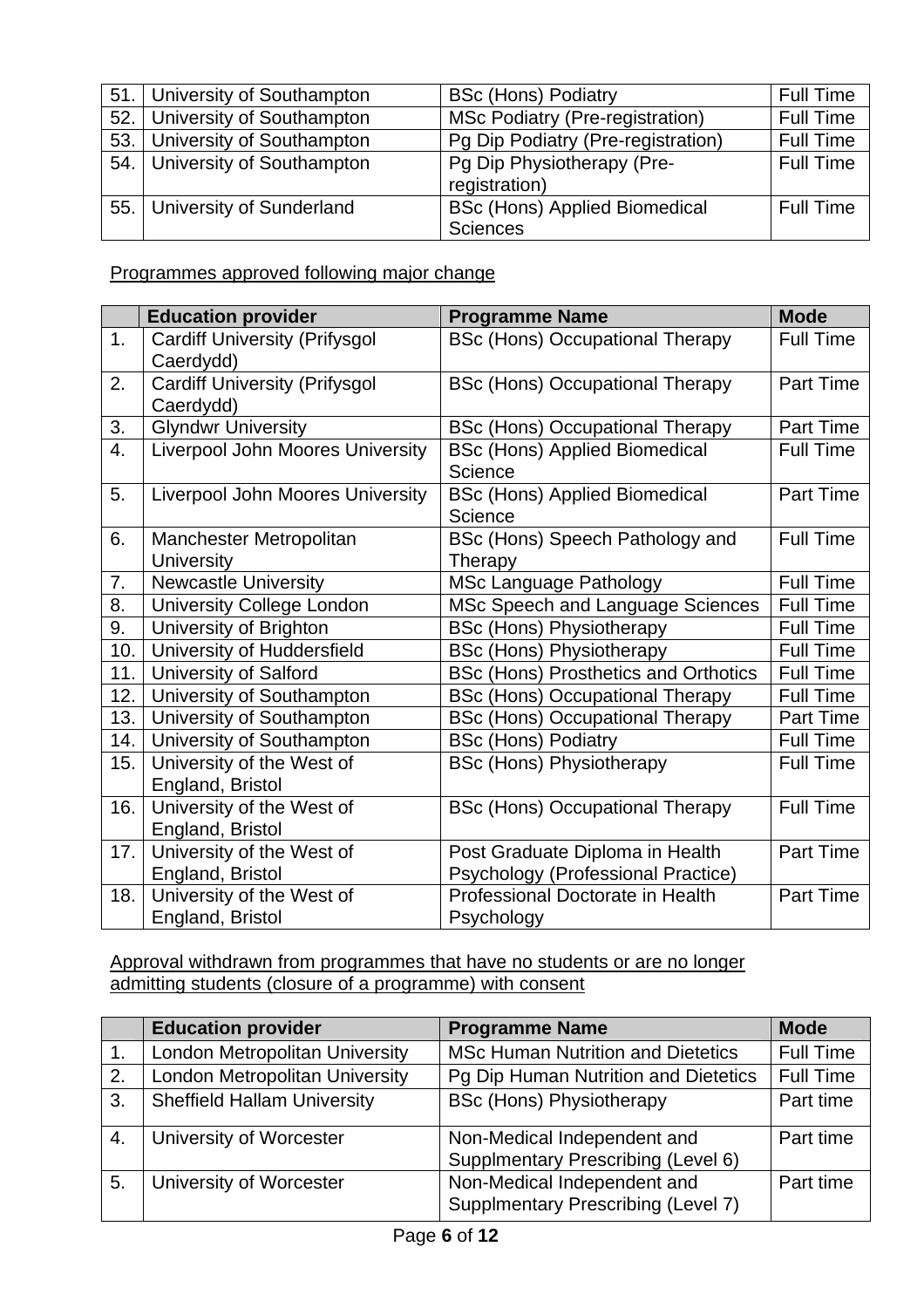| 51.1 | University of Southampton      | <b>BSc (Hons) Podiatry</b>             | <b>Full Time</b> |
|------|--------------------------------|----------------------------------------|------------------|
| 52.1 | University of Southampton      | <b>MSc Podiatry (Pre-registration)</b> | <b>Full Time</b> |
| 53.1 | University of Southampton      | Pg Dip Podiatry (Pre-registration)     | <b>Full Time</b> |
|      | 54. University of Southampton  | Pg Dip Physiotherapy (Pre-             | <b>Full Time</b> |
|      |                                | registration)                          |                  |
|      | 55.   University of Sunderland | <b>BSc (Hons) Applied Biomedical</b>   | <b>Full Time</b> |
|      |                                | <b>Sciences</b>                        |                  |

Programmes approved following major change

|     | <b>Education provider</b>                         | <b>Programme Name</b>                                                 | <b>Mode</b>      |
|-----|---------------------------------------------------|-----------------------------------------------------------------------|------------------|
| 1.  | <b>Cardiff University (Prifysgol</b><br>Caerdydd) | <b>BSc (Hons) Occupational Therapy</b>                                | <b>Full Time</b> |
| 2.  | <b>Cardiff University (Prifysgol</b><br>Caerdydd) | <b>BSc (Hons) Occupational Therapy</b>                                | <b>Part Time</b> |
| 3.  | <b>Glyndwr University</b>                         | <b>BSc (Hons) Occupational Therapy</b>                                | Part Time        |
| 4.  | Liverpool John Moores University                  | <b>BSc (Hons) Applied Biomedical</b><br>Science                       | <b>Full Time</b> |
| 5.  | Liverpool John Moores University                  | <b>BSc (Hons) Applied Biomedical</b><br>Science                       | Part Time        |
| 6.  | Manchester Metropolitan<br>University             | BSc (Hons) Speech Pathology and<br>Therapy                            | <b>Full Time</b> |
| 7.  | <b>Newcastle University</b>                       | <b>MSc Language Pathology</b>                                         | <b>Full Time</b> |
| 8.  | <b>University College London</b>                  | MSc Speech and Language Sciences                                      | <b>Full Time</b> |
| 9.  | University of Brighton                            | <b>BSc (Hons) Physiotherapy</b>                                       | <b>Full Time</b> |
| 10. | University of Huddersfield                        | <b>BSc (Hons) Physiotherapy</b>                                       | <b>Full Time</b> |
| 11. | <b>University of Salford</b>                      | <b>BSc (Hons) Prosthetics and Orthotics</b>                           | <b>Full Time</b> |
| 12. | University of Southampton                         | <b>BSc (Hons) Occupational Therapy</b>                                | <b>Full Time</b> |
| 13. | University of Southampton                         | <b>BSc (Hons) Occupational Therapy</b>                                | Part Time        |
| 14. | University of Southampton                         | <b>BSc (Hons) Podiatry</b>                                            | <b>Full Time</b> |
| 15. | University of the West of<br>England, Bristol     | <b>BSc (Hons) Physiotherapy</b>                                       | <b>Full Time</b> |
| 16. | University of the West of<br>England, Bristol     | <b>BSc (Hons) Occupational Therapy</b>                                | <b>Full Time</b> |
| 17. | University of the West of<br>England, Bristol     | Post Graduate Diploma in Health<br>Psychology (Professional Practice) | Part Time        |
| 18. | University of the West of<br>England, Bristol     | Professional Doctorate in Health<br>Psychology                        | Part Time        |

Approval withdrawn from programmes that have no students or are no longer admitting students (closure of a programme) with consent

|    | <b>Education provider</b>             | <b>Programme Name</b>                                                    | <b>Mode</b>      |
|----|---------------------------------------|--------------------------------------------------------------------------|------------------|
| 1. | London Metropolitan University        | <b>MSc Human Nutrition and Dietetics</b>                                 | <b>Full Time</b> |
| 2. | <b>London Metropolitan University</b> | Pg Dip Human Nutrition and Dietetics                                     | <b>Full Time</b> |
| 3. | <b>Sheffield Hallam University</b>    | <b>BSc (Hons) Physiotherapy</b>                                          | Part time        |
| 4. | University of Worcester               | Non-Medical Independent and<br><b>Supplmentary Prescribing (Level 6)</b> | Part time        |
| 5. | University of Worcester               | Non-Medical Independent and<br>Supplmentary Prescribing (Level 7)        | Part time        |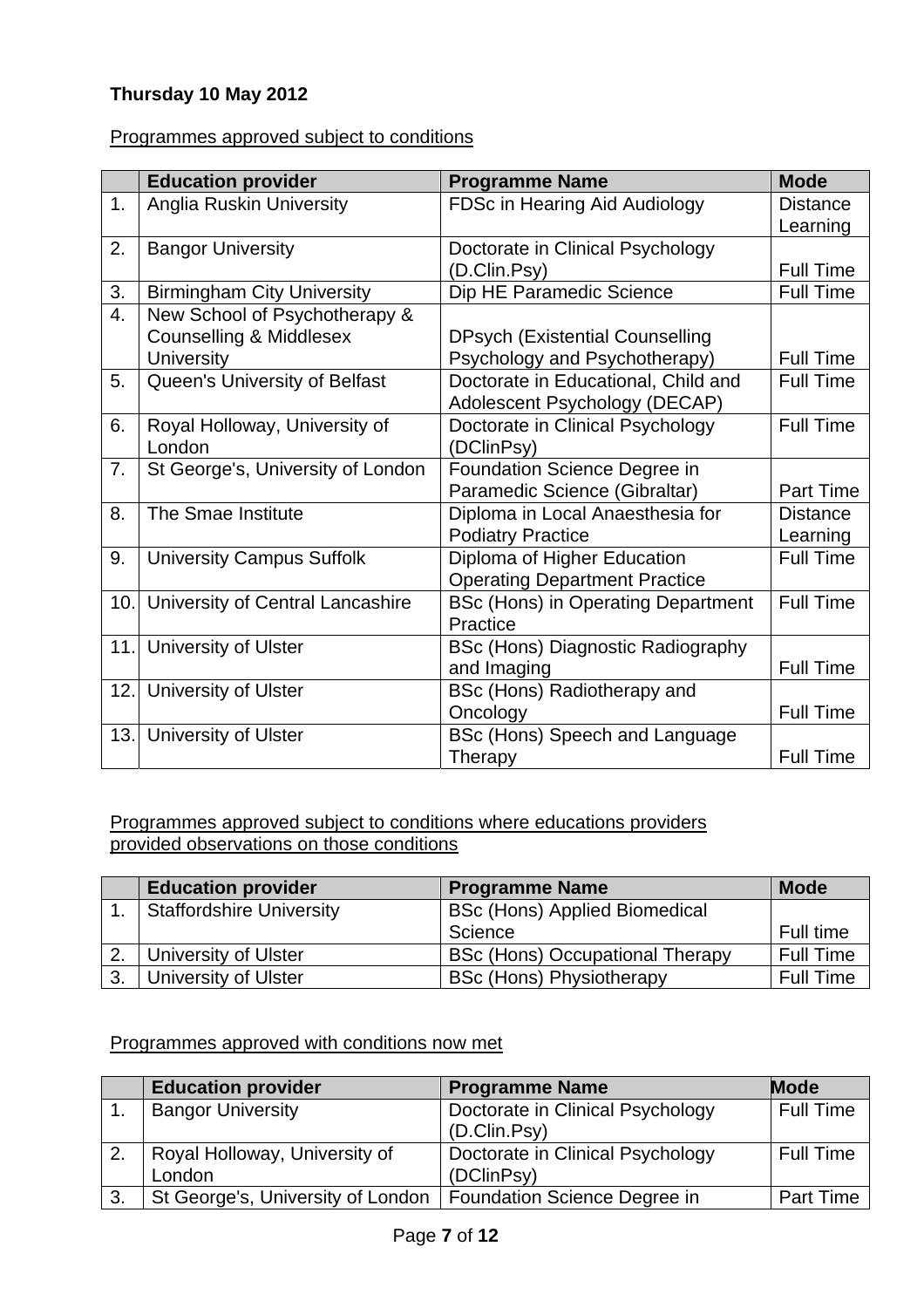## **Thursday 10 May 2012**

#### Programmes approved subject to conditions

|      | <b>Education provider</b>         | <b>Programme Name</b>                    | <b>Mode</b>      |
|------|-----------------------------------|------------------------------------------|------------------|
| 1.   | <b>Anglia Ruskin University</b>   | FDSc in Hearing Aid Audiology            | <b>Distance</b>  |
|      |                                   |                                          | Learning         |
| 2.   | <b>Bangor University</b>          | Doctorate in Clinical Psychology         |                  |
|      |                                   | (D.Clin.Psy)                             | <b>Full Time</b> |
| 3.   | <b>Birmingham City University</b> | Dip HE Paramedic Science                 | <b>Full Time</b> |
| 4.   | New School of Psychotherapy &     |                                          |                  |
|      | Counselling & Middlesex           | <b>DPsych (Existential Counselling</b>   |                  |
|      | <b>University</b>                 | Psychology and Psychotherapy)            | <b>Full Time</b> |
| 5.   | Queen's University of Belfast     | Doctorate in Educational, Child and      | <b>Full Time</b> |
|      |                                   | Adolescent Psychology (DECAP)            |                  |
| 6.   | Royal Holloway, University of     | Doctorate in Clinical Psychology         | <b>Full Time</b> |
|      | London                            | (DClinPsy)                               |                  |
| 7.   | St George's, University of London | Foundation Science Degree in             |                  |
|      |                                   | Paramedic Science (Gibraltar)            | Part Time        |
| 8.   | The Smae Institute                | Diploma in Local Anaesthesia for         | <b>Distance</b>  |
|      |                                   | <b>Podiatry Practice</b>                 | Learning         |
| 9.   | <b>University Campus Suffolk</b>  | Diploma of Higher Education              | <b>Full Time</b> |
|      |                                   | <b>Operating Department Practice</b>     |                  |
| 10.1 | University of Central Lancashire  | BSc (Hons) in Operating Department       | <b>Full Time</b> |
|      |                                   | Practice                                 |                  |
| 11.  | University of Ulster              | <b>BSc (Hons) Diagnostic Radiography</b> |                  |
|      |                                   | and Imaging                              | Full Time        |
| 12.1 | University of Ulster              | BSc (Hons) Radiotherapy and              |                  |
|      |                                   | Oncology                                 | <b>Full Time</b> |
| 13.  | <b>University of Ulster</b>       | BSc (Hons) Speech and Language           |                  |
|      |                                   | Therapy                                  | <b>Full Time</b> |

Programmes approved subject to conditions where educations providers provided observations on those conditions

|    | <b>Education provider</b>   | <b>Programme Name</b>                  | <b>Mode</b>      |
|----|-----------------------------|----------------------------------------|------------------|
|    | Staffordshire University    | <b>BSc (Hons) Applied Biomedical</b>   |                  |
|    |                             | Science                                | Full time        |
|    | University of Ulster        | <b>BSc (Hons) Occupational Therapy</b> | <b>Full Time</b> |
| 3. | <b>University of Ulster</b> | <b>BSc (Hons) Physiotherapy</b>        | <b>Full Time</b> |

Programmes approved with conditions now met

|    | <b>Education provider</b>         | <b>Programme Name</b>            | <b>Mode</b>      |
|----|-----------------------------------|----------------------------------|------------------|
|    | <b>Bangor University</b>          | Doctorate in Clinical Psychology | Full Time        |
|    |                                   | (D.Clin.Psy)                     |                  |
| 2. | Royal Holloway, University of     | Doctorate in Clinical Psychology | <b>Full Time</b> |
|    | London                            | (DClinPsy)                       |                  |
| 3. | St George's, University of London | Foundation Science Degree in     | Part Time        |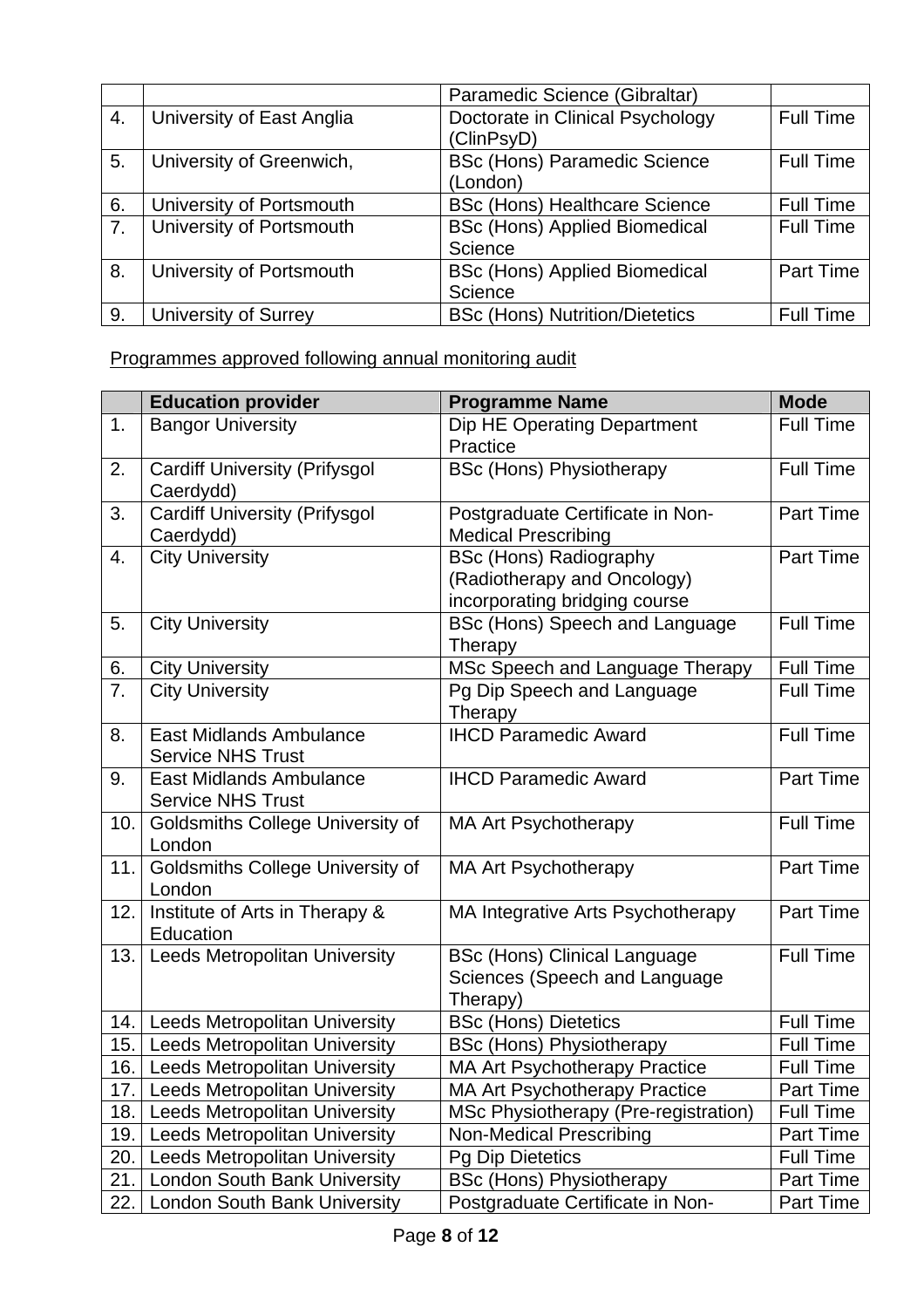|    |                             | Paramedic Science (Gibraltar)         |                  |
|----|-----------------------------|---------------------------------------|------------------|
| 4. | University of East Anglia   | Doctorate in Clinical Psychology      | <b>Full Time</b> |
|    |                             | (ClinPsyD)                            |                  |
| 5. | University of Greenwich,    | <b>BSc (Hons) Paramedic Science</b>   | <b>Full Time</b> |
|    |                             | (London)                              |                  |
| 6. | University of Portsmouth    | <b>BSc (Hons) Healthcare Science</b>  | <b>Full Time</b> |
| 7. | University of Portsmouth    | <b>BSc (Hons) Applied Biomedical</b>  | <b>Full Time</b> |
|    |                             | Science                               |                  |
| 8. | University of Portsmouth    | <b>BSc (Hons) Applied Biomedical</b>  | Part Time        |
|    |                             | Science                               |                  |
| 9. | <b>University of Surrey</b> | <b>BSc (Hons) Nutrition/Dietetics</b> | <b>Full Time</b> |

Programmes approved following annual monitoring audit

|     | <b>Education provider</b>                                  | <b>Programme Name</b>                                                                         | <b>Mode</b>      |
|-----|------------------------------------------------------------|-----------------------------------------------------------------------------------------------|------------------|
| 1.  | <b>Bangor University</b>                                   | Dip HE Operating Department<br>Practice                                                       | <b>Full Time</b> |
| 2.  | <b>Cardiff University (Prifysgol</b><br>Caerdydd)          | <b>BSc (Hons) Physiotherapy</b>                                                               | <b>Full Time</b> |
| 3.  | <b>Cardiff University (Prifysgol</b><br>Caerdydd)          | Postgraduate Certificate in Non-<br><b>Medical Prescribing</b>                                | Part Time        |
| 4.  | <b>City University</b>                                     | <b>BSc (Hons) Radiography</b><br>(Radiotherapy and Oncology)<br>incorporating bridging course | Part Time        |
| 5.  | <b>City University</b>                                     | BSc (Hons) Speech and Language<br>Therapy                                                     | Full Time        |
| 6.  | <b>City University</b>                                     | MSc Speech and Language Therapy                                                               | <b>Full Time</b> |
| 7.  | <b>City University</b>                                     | Pg Dip Speech and Language<br>Therapy                                                         | <b>Full Time</b> |
| 8.  | <b>East Midlands Ambulance</b><br><b>Service NHS Trust</b> | <b>IHCD Paramedic Award</b>                                                                   | <b>Full Time</b> |
| 9.  | <b>East Midlands Ambulance</b><br><b>Service NHS Trust</b> | <b>IHCD Paramedic Award</b>                                                                   | Part Time        |
| 10. | <b>Goldsmiths College University of</b><br>London          | <b>MA Art Psychotherapy</b>                                                                   | <b>Full Time</b> |
| 11. | Goldsmiths College University of<br>London                 | <b>MA Art Psychotherapy</b>                                                                   | Part Time        |
| 12. | Institute of Arts in Therapy &<br>Education                | MA Integrative Arts Psychotherapy                                                             | Part Time        |
| 13. | <b>Leeds Metropolitan University</b>                       | <b>BSc (Hons) Clinical Language</b><br>Sciences (Speech and Language<br>Therapy)              | <b>Full Time</b> |
| 14. | <b>Leeds Metropolitan University</b>                       | <b>BSc (Hons) Dietetics</b>                                                                   | <b>Full Time</b> |
| 15. | <b>Leeds Metropolitan University</b>                       | <b>BSc (Hons) Physiotherapy</b>                                                               | <b>Full Time</b> |
| 16. | <b>Leeds Metropolitan University</b>                       | <b>MA Art Psychotherapy Practice</b>                                                          | <b>Full Time</b> |
| 17. | Leeds Metropolitan University                              | <b>MA Art Psychotherapy Practice</b>                                                          | Part Time        |
| 18. | <b>Leeds Metropolitan University</b>                       | MSc Physiotherapy (Pre-registration)                                                          | <b>Full Time</b> |
| 19. | <b>Leeds Metropolitan University</b>                       | <b>Non-Medical Prescribing</b>                                                                | Part Time        |
| 20. | Leeds Metropolitan University                              | <b>Pg Dip Dietetics</b>                                                                       | Full Time        |
| 21. | <b>London South Bank University</b>                        | <b>BSc (Hons) Physiotherapy</b>                                                               | Part Time        |
| 22. | <b>London South Bank University</b>                        | Postgraduate Certificate in Non-                                                              | Part Time        |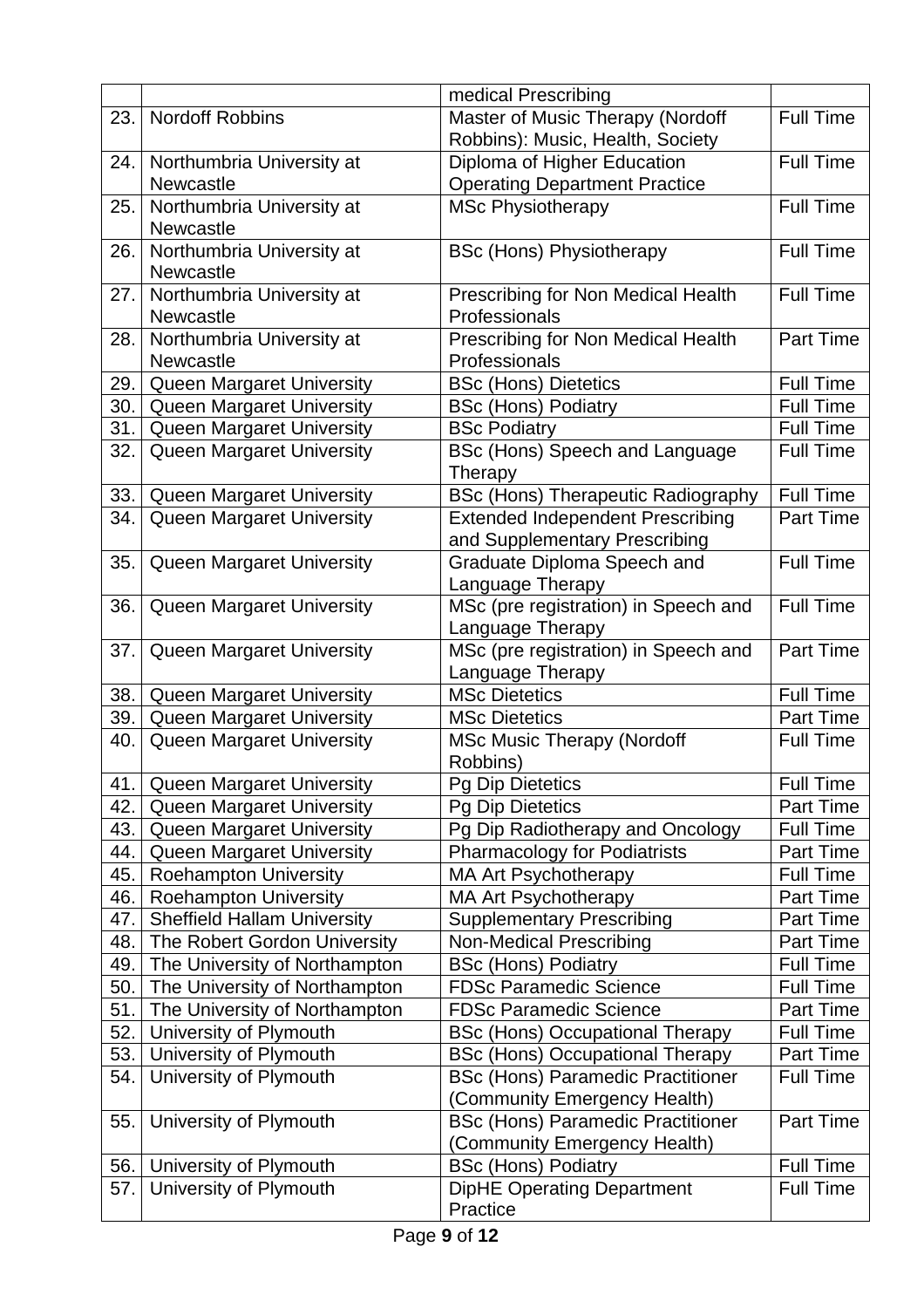|            |                                                               | medical Prescribing                                                      |                                      |
|------------|---------------------------------------------------------------|--------------------------------------------------------------------------|--------------------------------------|
| 23.        | <b>Nordoff Robbins</b>                                        | Master of Music Therapy (Nordoff                                         | <b>Full Time</b>                     |
|            |                                                               | Robbins): Music, Health, Society                                         |                                      |
| 24.        | Northumbria University at                                     | Diploma of Higher Education                                              | <b>Full Time</b>                     |
|            | <b>Newcastle</b>                                              | <b>Operating Department Practice</b>                                     |                                      |
| 25.        | Northumbria University at                                     | <b>MSc Physiotherapy</b>                                                 | <b>Full Time</b>                     |
|            | Newcastle                                                     |                                                                          |                                      |
| 26.        | Northumbria University at                                     | <b>BSc (Hons) Physiotherapy</b>                                          | <b>Full Time</b>                     |
|            | Newcastle                                                     |                                                                          |                                      |
| 27.        | Northumbria University at                                     | Prescribing for Non Medical Health                                       | <b>Full Time</b>                     |
|            | Newcastle                                                     | Professionals                                                            |                                      |
| 28.        | Northumbria University at                                     | Prescribing for Non Medical Health                                       | Part Time                            |
|            | <b>Newcastle</b>                                              | Professionals                                                            |                                      |
| 29.        | Queen Margaret University                                     | <b>BSc (Hons) Dietetics</b>                                              | <b>Full Time</b>                     |
| 30.        | <b>Queen Margaret University</b>                              | <b>BSc (Hons) Podiatry</b>                                               | <b>Full Time</b>                     |
| 31.        | <b>Queen Margaret University</b>                              | <b>BSc Podiatry</b>                                                      | <b>Full Time</b>                     |
| 32.        | <b>Queen Margaret University</b>                              | BSc (Hons) Speech and Language                                           | <b>Full Time</b>                     |
|            |                                                               | Therapy                                                                  |                                      |
| 33.<br>34. | <b>Queen Margaret University</b><br>Queen Margaret University | <b>BSc (Hons) Therapeutic Radiography</b>                                | <b>Full Time</b><br><b>Part Time</b> |
|            |                                                               | <b>Extended Independent Prescribing</b><br>and Supplementary Prescribing |                                      |
| 35.        | Queen Margaret University                                     | Graduate Diploma Speech and                                              | <b>Full Time</b>                     |
|            |                                                               | Language Therapy                                                         |                                      |
| 36.        | Queen Margaret University                                     | MSc (pre registration) in Speech and                                     | <b>Full Time</b>                     |
|            |                                                               | Language Therapy                                                         |                                      |
| 37.        | Queen Margaret University                                     | MSc (pre registration) in Speech and                                     | Part Time                            |
|            |                                                               | Language Therapy                                                         |                                      |
| 38.        | Queen Margaret University                                     | <b>MSc Dietetics</b>                                                     | <b>Full Time</b>                     |
| 39.        | Queen Margaret University                                     | <b>MSc Dietetics</b>                                                     | Part Time                            |
| 40.        | <b>Queen Margaret University</b>                              | <b>MSc Music Therapy (Nordoff</b>                                        | <b>Full Time</b>                     |
|            |                                                               | Robbins)                                                                 |                                      |
| 41.        | Queen Margaret University                                     | Pg Dip Dietetics                                                         | Full Time                            |
| 42.        | Queen Margaret University                                     | <b>Pg Dip Dietetics</b>                                                  | Part Time                            |
| 43.        | Queen Margaret University                                     | Pg Dip Radiotherapy and Oncology                                         | <b>Full Time</b>                     |
| 44.        | Queen Margaret University                                     | <b>Pharmacology for Podiatrists</b>                                      | Part Time                            |
| 45.        | <b>Roehampton University</b>                                  | <b>MA Art Psychotherapy</b>                                              | <b>Full Time</b>                     |
| 46.        | <b>Roehampton University</b>                                  | <b>MA Art Psychotherapy</b>                                              | Part Time                            |
| 47.        | <b>Sheffield Hallam University</b>                            | <b>Supplementary Prescribing</b>                                         | Part Time                            |
| 48.        | The Robert Gordon University                                  | <b>Non-Medical Prescribing</b>                                           | Part Time                            |
| 49.        | The University of Northampton                                 | <b>BSc (Hons) Podiatry</b>                                               | <b>Full Time</b>                     |
| 50.        | The University of Northampton                                 | <b>FDSc Paramedic Science</b>                                            | <b>Full Time</b>                     |
| 51.        | The University of Northampton                                 | <b>FDSc Paramedic Science</b>                                            | Part Time                            |
| 52.        | University of Plymouth                                        | <b>BSc (Hons) Occupational Therapy</b>                                   | <b>Full Time</b>                     |
| 53.        | University of Plymouth                                        | <b>BSc (Hons) Occupational Therapy</b>                                   | Part Time                            |
| 54.        | University of Plymouth                                        | <b>BSc (Hons) Paramedic Practitioner</b>                                 | <b>Full Time</b>                     |
|            |                                                               | (Community Emergency Health)                                             |                                      |
| 55.        | University of Plymouth                                        | <b>BSc (Hons) Paramedic Practitioner</b>                                 | Part Time                            |
|            |                                                               | (Community Emergency Health)                                             |                                      |
| 56.        | University of Plymouth                                        | <b>BSc (Hons) Podiatry</b>                                               | <b>Full Time</b>                     |
| 57.        | University of Plymouth                                        | <b>DipHE Operating Department</b>                                        | <b>Full Time</b>                     |
|            |                                                               | Practice                                                                 |                                      |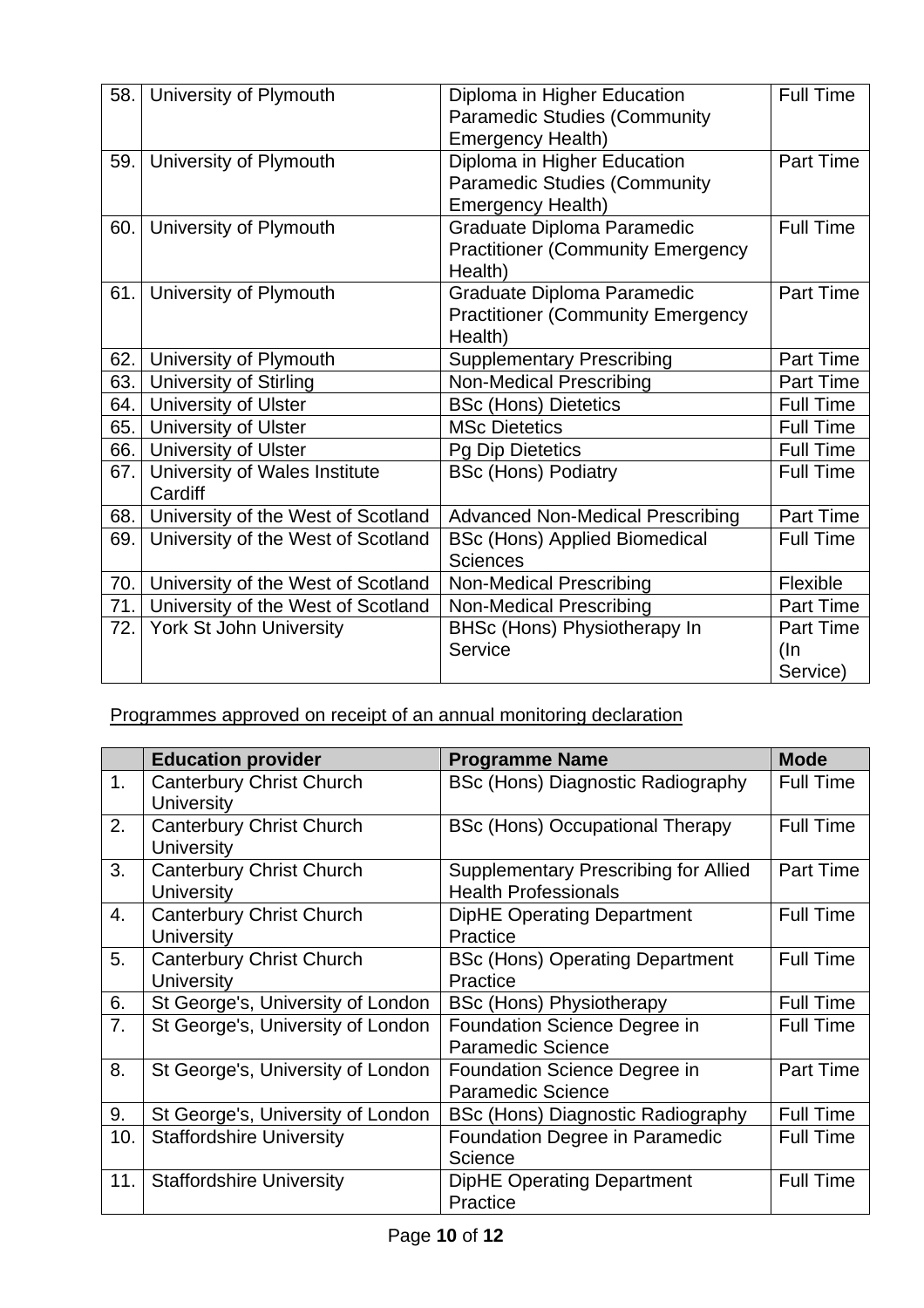| 58. | University of Plymouth             | Diploma in Higher Education              | <b>Full Time</b> |
|-----|------------------------------------|------------------------------------------|------------------|
|     |                                    | <b>Paramedic Studies (Community</b>      |                  |
|     |                                    | <b>Emergency Health)</b>                 |                  |
| 59. | University of Plymouth             | Diploma in Higher Education              | Part Time        |
|     |                                    | <b>Paramedic Studies (Community</b>      |                  |
|     |                                    | <b>Emergency Health)</b>                 |                  |
| 60. | University of Plymouth             | <b>Graduate Diploma Paramedic</b>        | <b>Full Time</b> |
|     |                                    | <b>Practitioner (Community Emergency</b> |                  |
|     |                                    | Health)                                  |                  |
| 61. | University of Plymouth             | Graduate Diploma Paramedic               | Part Time        |
|     |                                    | <b>Practitioner (Community Emergency</b> |                  |
|     |                                    | Health)                                  |                  |
| 62. | University of Plymouth             | <b>Supplementary Prescribing</b>         | Part Time        |
| 63. | <b>University of Stirling</b>      | <b>Non-Medical Prescribing</b>           | Part Time        |
| 64. | University of Ulster               | <b>BSc (Hons) Dietetics</b>              | <b>Full Time</b> |
| 65. | University of Ulster               | <b>MSc Dietetics</b>                     | <b>Full Time</b> |
| 66. | University of Ulster               | <b>Pg Dip Dietetics</b>                  | <b>Full Time</b> |
| 67. | University of Wales Institute      | <b>BSc (Hons) Podiatry</b>               | <b>Full Time</b> |
|     | Cardiff                            |                                          |                  |
| 68. | University of the West of Scotland | <b>Advanced Non-Medical Prescribing</b>  | Part Time        |
| 69. | University of the West of Scotland | <b>BSc (Hons) Applied Biomedical</b>     | <b>Full Time</b> |
|     |                                    | <b>Sciences</b>                          |                  |
| 70. | University of the West of Scotland | <b>Non-Medical Prescribing</b>           | Flexible         |
| 71. | University of the West of Scotland | <b>Non-Medical Prescribing</b>           | Part Time        |
| 72. | York St John University            | <b>BHSc (Hons) Physiotherapy In</b>      | <b>Part Time</b> |
|     |                                    | Service                                  | (In              |
|     |                                    |                                          | Service)         |

Programmes approved on receipt of an annual monitoring declaration

|     | <b>Education provider</b>                            | <b>Programme Name</b>                                               | <b>Mode</b>      |
|-----|------------------------------------------------------|---------------------------------------------------------------------|------------------|
| 1.  | <b>Canterbury Christ Church</b><br><b>University</b> | <b>BSc (Hons) Diagnostic Radiography</b>                            | <b>Full Time</b> |
| 2.  | <b>Canterbury Christ Church</b><br>University        | <b>BSc (Hons) Occupational Therapy</b>                              | <b>Full Time</b> |
| 3.  | <b>Canterbury Christ Church</b><br><b>University</b> | Supplementary Prescribing for Allied<br><b>Health Professionals</b> | <b>Part Time</b> |
| 4.  | <b>Canterbury Christ Church</b><br>University        | <b>DipHE Operating Department</b><br>Practice                       | Full Time        |
| 5.  | <b>Canterbury Christ Church</b><br><b>University</b> | <b>BSc (Hons) Operating Department</b><br>Practice                  | <b>Full Time</b> |
| 6.  | St George's, University of London                    | <b>BSc (Hons) Physiotherapy</b>                                     | <b>Full Time</b> |
| 7.  | St George's, University of London                    | <b>Foundation Science Degree in</b><br><b>Paramedic Science</b>     | <b>Full Time</b> |
| 8.  | St George's, University of London                    | <b>Foundation Science Degree in</b><br><b>Paramedic Science</b>     | <b>Part Time</b> |
| 9.  | St George's, University of London                    | BSc (Hons) Diagnostic Radiography                                   | <b>Full Time</b> |
| 10. | <b>Staffordshire University</b>                      | Foundation Degree in Paramedic<br>Science                           | <b>Full Time</b> |
| 11. | <b>Staffordshire University</b>                      | <b>DipHE Operating Department</b><br>Practice                       | <b>Full Time</b> |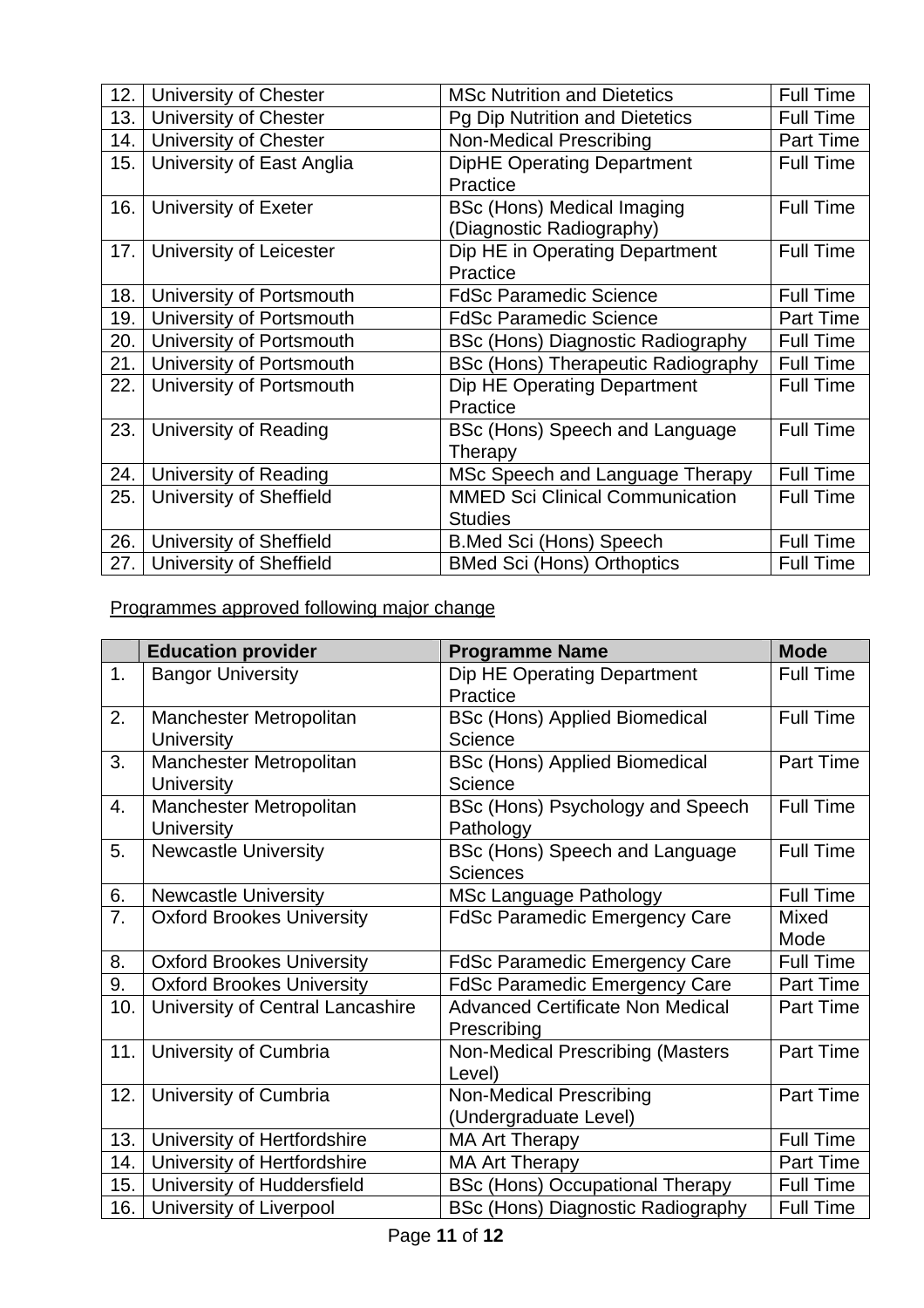| 12. | University of Chester     | <b>MSc Nutrition and Dietetics</b>        | <b>Full Time</b> |
|-----|---------------------------|-------------------------------------------|------------------|
| 13. | University of Chester     | Pg Dip Nutrition and Dietetics            | <b>Full Time</b> |
| 14. | University of Chester     | <b>Non-Medical Prescribing</b>            | <b>Part Time</b> |
| 15. | University of East Anglia | <b>DipHE Operating Department</b>         | Full Time        |
|     |                           | Practice                                  |                  |
| 16. | University of Exeter      | <b>BSc (Hons) Medical Imaging</b>         | <b>Full Time</b> |
|     |                           | (Diagnostic Radiography)                  |                  |
| 17. | University of Leicester   | Dip HE in Operating Department            | <b>Full Time</b> |
|     |                           | Practice                                  |                  |
| 18. | University of Portsmouth  | <b>FdSc Paramedic Science</b>             | <b>Full Time</b> |
| 19. | University of Portsmouth  | <b>FdSc Paramedic Science</b>             | <b>Part Time</b> |
| 20. | University of Portsmouth  | BSc (Hons) Diagnostic Radiography         | <b>Full Time</b> |
| 21. | University of Portsmouth  | <b>BSc (Hons) Therapeutic Radiography</b> | <b>Full Time</b> |
| 22. | University of Portsmouth  | Dip HE Operating Department               | Full Time        |
|     |                           | Practice                                  |                  |
| 23. | University of Reading     | BSc (Hons) Speech and Language            | <b>Full Time</b> |
|     |                           | Therapy                                   |                  |
| 24. | University of Reading     | MSc Speech and Language Therapy           | <b>Full Time</b> |
| 25. | University of Sheffield   | <b>MMED Sci Clinical Communication</b>    | <b>Full Time</b> |
|     |                           | <b>Studies</b>                            |                  |
| 26. | University of Sheffield   | <b>B.Med Sci (Hons) Speech</b>            | <b>Full Time</b> |
| 27. | University of Sheffield   | <b>BMed Sci (Hons) Orthoptics</b>         | <b>Full Time</b> |

Programmes approved following major change

|     | <b>Education provider</b>        | <b>Programme Name</b>                    | <b>Mode</b>      |
|-----|----------------------------------|------------------------------------------|------------------|
| 1.  | <b>Bangor University</b>         | Dip HE Operating Department              | <b>Full Time</b> |
|     |                                  | Practice                                 |                  |
| 2.  | Manchester Metropolitan          | <b>BSc (Hons) Applied Biomedical</b>     | <b>Full Time</b> |
|     | <b>University</b>                | Science                                  |                  |
| 3.  | Manchester Metropolitan          | <b>BSc (Hons) Applied Biomedical</b>     | Part Time        |
|     | <b>University</b>                | Science                                  |                  |
| 4.  | Manchester Metropolitan          | BSc (Hons) Psychology and Speech         | <b>Full Time</b> |
|     | <b>University</b>                | Pathology                                |                  |
| 5.  | <b>Newcastle University</b>      | BSc (Hons) Speech and Language           | <b>Full Time</b> |
|     |                                  | <b>Sciences</b>                          |                  |
| 6.  | <b>Newcastle University</b>      | <b>MSc Language Pathology</b>            | <b>Full Time</b> |
| 7.  | <b>Oxford Brookes University</b> | <b>FdSc Paramedic Emergency Care</b>     | <b>Mixed</b>     |
|     |                                  |                                          | Mode             |
| 8.  | <b>Oxford Brookes University</b> | <b>FdSc Paramedic Emergency Care</b>     | <b>Full Time</b> |
| 9.  | <b>Oxford Brookes University</b> | <b>FdSc Paramedic Emergency Care</b>     | Part Time        |
| 10. | University of Central Lancashire | <b>Advanced Certificate Non Medical</b>  | <b>Part Time</b> |
|     |                                  | Prescribing                              |                  |
| 11. | University of Cumbria            | Non-Medical Prescribing (Masters         | Part Time        |
|     |                                  | Level)                                   |                  |
| 12. | University of Cumbria            | <b>Non-Medical Prescribing</b>           | Part Time        |
|     |                                  | (Undergraduate Level)                    |                  |
| 13. | University of Hertfordshire      | <b>MA Art Therapy</b>                    | <b>Full Time</b> |
| 14. | University of Hertfordshire      | <b>MA Art Therapy</b>                    | Part Time        |
| 15. | University of Huddersfield       | <b>BSc (Hons) Occupational Therapy</b>   | <b>Full Time</b> |
| 16. | University of Liverpool          | <b>BSc (Hons) Diagnostic Radiography</b> | <b>Full Time</b> |